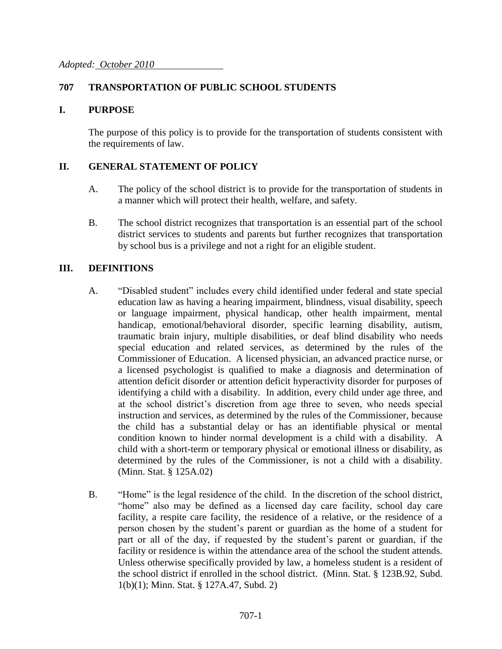#### **707 TRANSPORTATION OF PUBLIC SCHOOL STUDENTS**

#### **I. PURPOSE**

The purpose of this policy is to provide for the transportation of students consistent with the requirements of law.

#### **II. GENERAL STATEMENT OF POLICY**

- A. The policy of the school district is to provide for the transportation of students in a manner which will protect their health, welfare, and safety.
- B. The school district recognizes that transportation is an essential part of the school district services to students and parents but further recognizes that transportation by school bus is a privilege and not a right for an eligible student.

#### **III. DEFINITIONS**

- A. "Disabled student" includes every child identified under federal and state special education law as having a hearing impairment, blindness, visual disability, speech or language impairment, physical handicap, other health impairment, mental handicap, emotional/behavioral disorder, specific learning disability, autism, traumatic brain injury, multiple disabilities, or deaf blind disability who needs special education and related services, as determined by the rules of the Commissioner of Education. A licensed physician, an advanced practice nurse, or a licensed psychologist is qualified to make a diagnosis and determination of attention deficit disorder or attention deficit hyperactivity disorder for purposes of identifying a child with a disability. In addition, every child under age three, and at the school district's discretion from age three to seven, who needs special instruction and services, as determined by the rules of the Commissioner, because the child has a substantial delay or has an identifiable physical or mental condition known to hinder normal development is a child with a disability. A child with a short-term or temporary physical or emotional illness or disability, as determined by the rules of the Commissioner, is not a child with a disability. (Minn. Stat. § 125A.02)
- B. "Home" is the legal residence of the child. In the discretion of the school district, "home" also may be defined as a licensed day care facility, school day care facility, a respite care facility, the residence of a relative, or the residence of a person chosen by the student's parent or guardian as the home of a student for part or all of the day, if requested by the student's parent or guardian, if the facility or residence is within the attendance area of the school the student attends. Unless otherwise specifically provided by law, a homeless student is a resident of the school district if enrolled in the school district. (Minn. Stat. § 123B.92, Subd. 1(b)(1); Minn. Stat. § 127A.47, Subd. 2)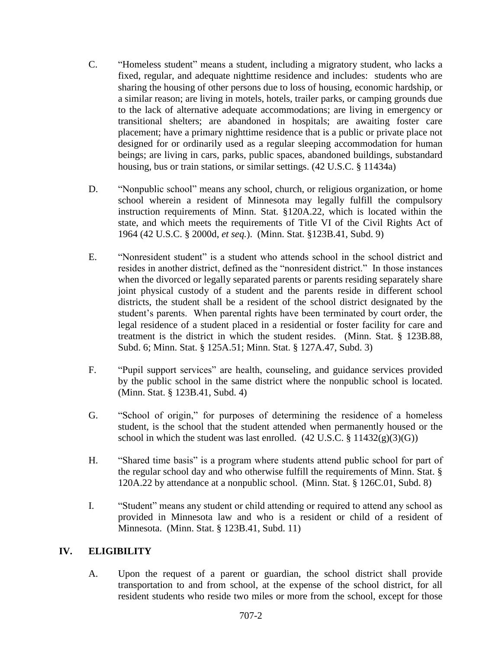- C. "Homeless student" means a student, including a migratory student, who lacks a fixed, regular, and adequate nighttime residence and includes: students who are sharing the housing of other persons due to loss of housing, economic hardship, or a similar reason; are living in motels, hotels, trailer parks, or camping grounds due to the lack of alternative adequate accommodations; are living in emergency or transitional shelters; are abandoned in hospitals; are awaiting foster care placement; have a primary nighttime residence that is a public or private place not designed for or ordinarily used as a regular sleeping accommodation for human beings; are living in cars, parks, public spaces, abandoned buildings, substandard housing, bus or train stations, or similar settings. (42 U.S.C. § 11434a)
- D. "Nonpublic school" means any school, church, or religious organization, or home school wherein a resident of Minnesota may legally fulfill the compulsory instruction requirements of Minn. Stat. §120A.22, which is located within the state, and which meets the requirements of Title VI of the Civil Rights Act of 1964 (42 U.S.C. § 2000d, *et seq.*). (Minn. Stat. §123B.41, Subd. 9)
- E. "Nonresident student" is a student who attends school in the school district and resides in another district, defined as the "nonresident district." In those instances when the divorced or legally separated parents or parents residing separately share joint physical custody of a student and the parents reside in different school districts, the student shall be a resident of the school district designated by the student's parents. When parental rights have been terminated by court order, the legal residence of a student placed in a residential or foster facility for care and treatment is the district in which the student resides. (Minn. Stat. § 123B.88, Subd. 6; Minn. Stat. § 125A.51; Minn. Stat. § 127A.47, Subd. 3)
- F. "Pupil support services" are health, counseling, and guidance services provided by the public school in the same district where the nonpublic school is located. (Minn. Stat. § 123B.41, Subd. 4)
- G. "School of origin," for purposes of determining the residence of a homeless student, is the school that the student attended when permanently housed or the school in which the student was last enrolled.  $(42 \text{ U.S.C.} \$ 11432(g)(3)(G))$
- H. "Shared time basis" is a program where students attend public school for part of the regular school day and who otherwise fulfill the requirements of Minn. Stat. § 120A.22 by attendance at a nonpublic school. (Minn. Stat. § 126C.01, Subd. 8)
- I. "Student" means any student or child attending or required to attend any school as provided in Minnesota law and who is a resident or child of a resident of Minnesota. (Minn. Stat. § 123B.41, Subd. 11)

## **IV. ELIGIBILITY**

A. Upon the request of a parent or guardian, the school district shall provide transportation to and from school, at the expense of the school district, for all resident students who reside two miles or more from the school, except for those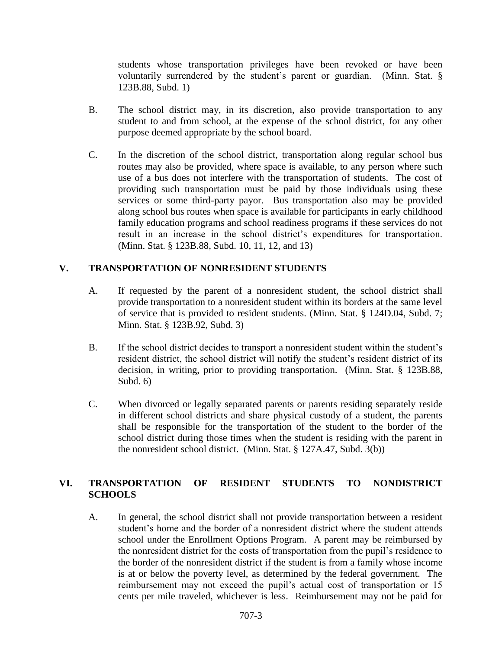students whose transportation privileges have been revoked or have been voluntarily surrendered by the student's parent or guardian. (Minn. Stat. § 123B.88, Subd. 1)

- B. The school district may, in its discretion, also provide transportation to any student to and from school, at the expense of the school district, for any other purpose deemed appropriate by the school board.
- C. In the discretion of the school district, transportation along regular school bus routes may also be provided, where space is available, to any person where such use of a bus does not interfere with the transportation of students. The cost of providing such transportation must be paid by those individuals using these services or some third-party payor. Bus transportation also may be provided along school bus routes when space is available for participants in early childhood family education programs and school readiness programs if these services do not result in an increase in the school district's expenditures for transportation. (Minn. Stat. § 123B.88, Subd. 10, 11, 12, and 13)

# **V. TRANSPORTATION OF NONRESIDENT STUDENTS**

- A. If requested by the parent of a nonresident student, the school district shall provide transportation to a nonresident student within its borders at the same level of service that is provided to resident students. (Minn. Stat. § 124D.04, Subd. 7; Minn. Stat. § 123B.92, Subd. 3)
- B. If the school district decides to transport a nonresident student within the student's resident district, the school district will notify the student's resident district of its decision, in writing, prior to providing transportation. (Minn. Stat. § 123B.88, Subd. 6)
- C. When divorced or legally separated parents or parents residing separately reside in different school districts and share physical custody of a student, the parents shall be responsible for the transportation of the student to the border of the school district during those times when the student is residing with the parent in the nonresident school district. (Minn. Stat. § 127A.47, Subd. 3(b))

## **VI. TRANSPORTATION OF RESIDENT STUDENTS TO NONDISTRICT SCHOOLS**

A. In general, the school district shall not provide transportation between a resident student's home and the border of a nonresident district where the student attends school under the Enrollment Options Program. A parent may be reimbursed by the nonresident district for the costs of transportation from the pupil's residence to the border of the nonresident district if the student is from a family whose income is at or below the poverty level, as determined by the federal government. The reimbursement may not exceed the pupil's actual cost of transportation or 15 cents per mile traveled, whichever is less. Reimbursement may not be paid for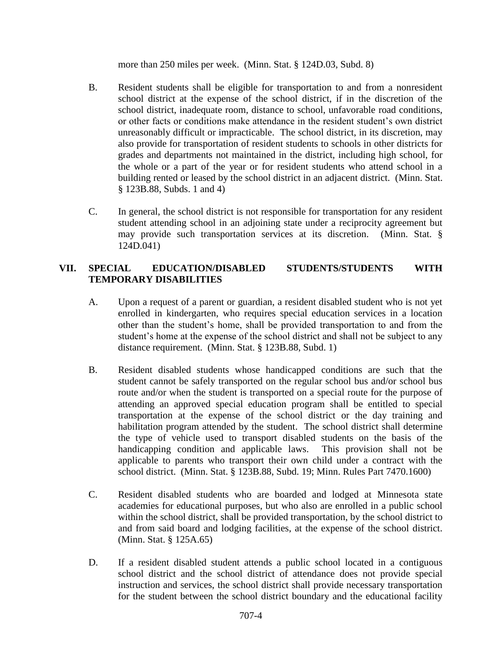more than 250 miles per week. (Minn. Stat. § 124D.03, Subd. 8)

- B. Resident students shall be eligible for transportation to and from a nonresident school district at the expense of the school district, if in the discretion of the school district, inadequate room, distance to school, unfavorable road conditions, or other facts or conditions make attendance in the resident student's own district unreasonably difficult or impracticable. The school district, in its discretion, may also provide for transportation of resident students to schools in other districts for grades and departments not maintained in the district, including high school, for the whole or a part of the year or for resident students who attend school in a building rented or leased by the school district in an adjacent district. (Minn. Stat. § 123B.88, Subds. 1 and 4)
- C. In general, the school district is not responsible for transportation for any resident student attending school in an adjoining state under a reciprocity agreement but may provide such transportation services at its discretion. (Minn. Stat. § 124D.041)

## **VII. SPECIAL EDUCATION/DISABLED STUDENTS/STUDENTS WITH TEMPORARY DISABILITIES**

- A. Upon a request of a parent or guardian, a resident disabled student who is not yet enrolled in kindergarten, who requires special education services in a location other than the student's home, shall be provided transportation to and from the student's home at the expense of the school district and shall not be subject to any distance requirement. (Minn. Stat. § 123B.88, Subd. 1)
- B. Resident disabled students whose handicapped conditions are such that the student cannot be safely transported on the regular school bus and/or school bus route and/or when the student is transported on a special route for the purpose of attending an approved special education program shall be entitled to special transportation at the expense of the school district or the day training and habilitation program attended by the student. The school district shall determine the type of vehicle used to transport disabled students on the basis of the handicapping condition and applicable laws. This provision shall not be applicable to parents who transport their own child under a contract with the school district. (Minn. Stat. § 123B.88, Subd. 19; Minn. Rules Part 7470.1600)
- C. Resident disabled students who are boarded and lodged at Minnesota state academies for educational purposes, but who also are enrolled in a public school within the school district, shall be provided transportation, by the school district to and from said board and lodging facilities, at the expense of the school district. (Minn. Stat. § 125A.65)
- D. If a resident disabled student attends a public school located in a contiguous school district and the school district of attendance does not provide special instruction and services, the school district shall provide necessary transportation for the student between the school district boundary and the educational facility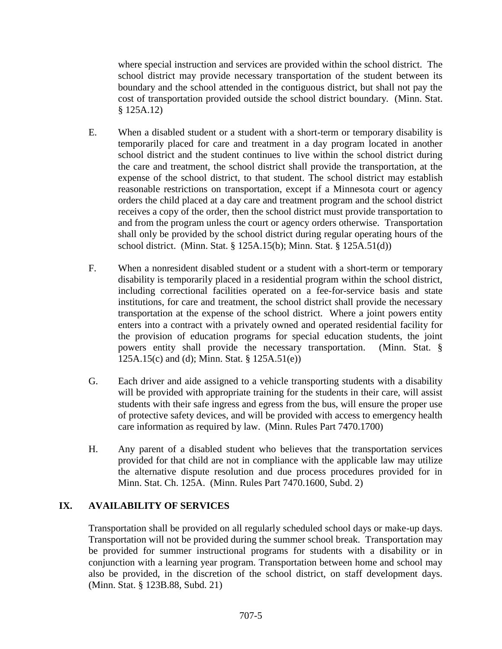where special instruction and services are provided within the school district. The school district may provide necessary transportation of the student between its boundary and the school attended in the contiguous district, but shall not pay the cost of transportation provided outside the school district boundary. (Minn. Stat. § 125A.12)

- E. When a disabled student or a student with a short-term or temporary disability is temporarily placed for care and treatment in a day program located in another school district and the student continues to live within the school district during the care and treatment, the school district shall provide the transportation, at the expense of the school district, to that student. The school district may establish reasonable restrictions on transportation, except if a Minnesota court or agency orders the child placed at a day care and treatment program and the school district receives a copy of the order, then the school district must provide transportation to and from the program unless the court or agency orders otherwise. Transportation shall only be provided by the school district during regular operating hours of the school district. (Minn. Stat. § 125A.15(b); Minn. Stat. § 125A.51(d))
- F. When a nonresident disabled student or a student with a short-term or temporary disability is temporarily placed in a residential program within the school district, including correctional facilities operated on a fee-for-service basis and state institutions, for care and treatment, the school district shall provide the necessary transportation at the expense of the school district. Where a joint powers entity enters into a contract with a privately owned and operated residential facility for the provision of education programs for special education students, the joint powers entity shall provide the necessary transportation. (Minn. Stat. § 125A.15(c) and (d); Minn. Stat. § 125A.51(e))
- G. Each driver and aide assigned to a vehicle transporting students with a disability will be provided with appropriate training for the students in their care, will assist students with their safe ingress and egress from the bus, will ensure the proper use of protective safety devices, and will be provided with access to emergency health care information as required by law. (Minn. Rules Part 7470.1700)
- H. Any parent of a disabled student who believes that the transportation services provided for that child are not in compliance with the applicable law may utilize the alternative dispute resolution and due process procedures provided for in Minn. Stat. Ch. 125A. (Minn. Rules Part 7470.1600, Subd. 2)

## **IX. AVAILABILITY OF SERVICES**

Transportation shall be provided on all regularly scheduled school days or make-up days. Transportation will not be provided during the summer school break. Transportation may be provided for summer instructional programs for students with a disability or in conjunction with a learning year program. Transportation between home and school may also be provided, in the discretion of the school district, on staff development days. (Minn. Stat. § 123B.88, Subd. 21)